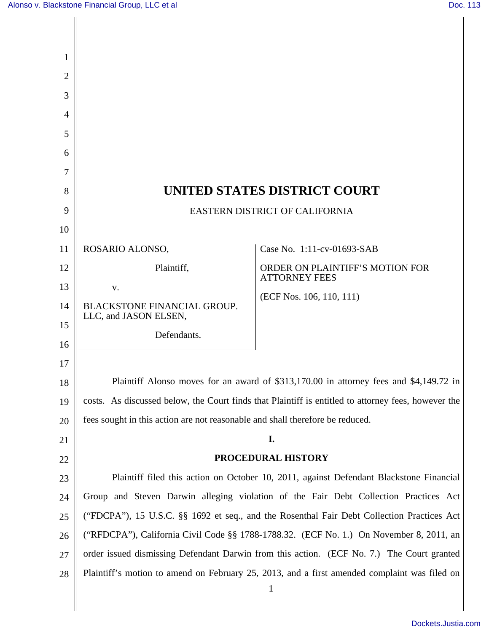| UNITED STATES DISTRICT COURT<br>8                                                                   |                                                                                              |
|-----------------------------------------------------------------------------------------------------|----------------------------------------------------------------------------------------------|
| 9<br>EASTERN DISTRICT OF CALIFORNIA                                                                 |                                                                                              |
|                                                                                                     |                                                                                              |
| ROSARIO ALONSO,                                                                                     | Case No. 1:11-cv-01693-SAB                                                                   |
| Plaintiff,                                                                                          | ORDER ON PLAINTIFF'S MOTION FOR<br><b>ATTORNEY FEES</b>                                      |
| V.                                                                                                  | (ECF Nos. 106, 110, 111)                                                                     |
| <b>BLACKSTONE FINANCIAL GROUP.</b>                                                                  |                                                                                              |
|                                                                                                     |                                                                                              |
|                                                                                                     |                                                                                              |
|                                                                                                     |                                                                                              |
| Plaintiff Alonso moves for an award of \$313,170.00 in attorney fees and \$4,149.72 in<br>18        |                                                                                              |
| costs. As discussed below, the Court finds that Plaintiff is entitled to attorney fees, however the |                                                                                              |
| fees sought in this action are not reasonable and shall therefore be reduced.                       |                                                                                              |
|                                                                                                     | I.                                                                                           |
| PROCEDURAL HISTORY<br>22                                                                            |                                                                                              |
| Plaintiff filed this action on October 10, 2011, against Defendant Blackstone Financial             |                                                                                              |
| Group and Steven Darwin alleging violation of the Fair Debt Collection Practices Act                |                                                                                              |
| ("FDCPA"), 15 U.S.C. §§ 1692 et seq., and the Rosenthal Fair Debt Collection Practices Act          |                                                                                              |
| ("RFDCPA"), California Civil Code §§ 1788-1788.32. (ECF No. 1.) On November 8, 2011, an             |                                                                                              |
| order issued dismissing Defendant Darwin from this action. (ECF No. 7.) The Court granted           |                                                                                              |
|                                                                                                     | Plaintiff's motion to amend on February 25, 2013, and a first amended complaint was filed on |
|                                                                                                     | LLC, and JASON ELSEN,<br>Defendants.                                                         |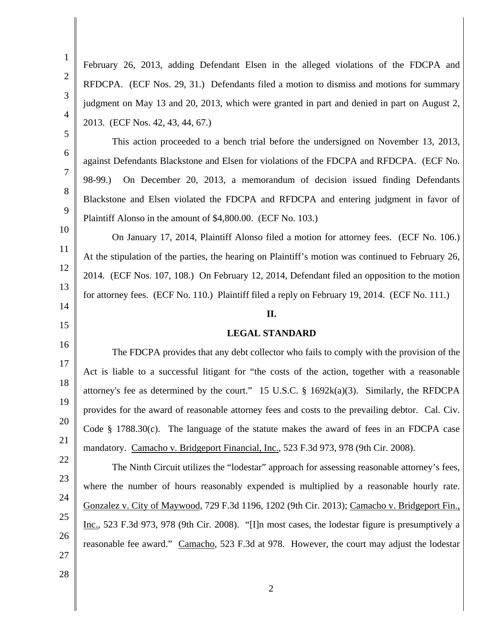1 2 3 4 5 6 7 8 9 10 11 12 13 14 15 16 17 18 19 20 21 22 23 24 25 26 27 28 2 February 26, 2013, adding Defendant Elsen in the alleged violations of the FDCPA and RFDCPA. (ECF Nos. 29, 31.) Defendants filed a motion to dismiss and motions for summary judgment on May 13 and 20, 2013, which were granted in part and denied in part on August 2, 2013. (ECF Nos. 42, 43, 44, 67.) This action proceeded to a bench trial before the undersigned on November 13, 2013, against Defendants Blackstone and Elsen for violations of the FDCPA and RFDCPA. (ECF No. 98-99.) On December 20, 2013, a memorandum of decision issued finding Defendants Blackstone and Elsen violated the FDCPA and RFDCPA and entering judgment in favor of Plaintiff Alonso in the amount of \$4,800.00. (ECF No. 103.) On January 17, 2014, Plaintiff Alonso filed a motion for attorney fees. (ECF No. 106.) At the stipulation of the parties, the hearing on Plaintiff's motion was continued to February 26, 2014. (ECF Nos. 107, 108.) On February 12, 2014, Defendant filed an opposition to the motion for attorney fees. (ECF No. 110.) Plaintiff filed a reply on February 19, 2014. (ECF No. 111.) **II. LEGAL STANDARD**  The FDCPA provides that any debt collector who fails to comply with the provision of the Act is liable to a successful litigant for "the costs of the action, together with a reasonable attorney's fee as determined by the court." 15 U.S.C. § 1692k(a)(3). Similarly, the RFDCPA provides for the award of reasonable attorney fees and costs to the prevailing debtor. Cal. Civ. Code § 1788.30(c). The language of the statute makes the award of fees in an FDCPA case mandatory. Camacho v. Bridgeport Financial, Inc., 523 F.3d 973, 978 (9th Cir. 2008). The Ninth Circuit utilizes the "lodestar" approach for assessing reasonable attorney's fees, where the number of hours reasonably expended is multiplied by a reasonable hourly rate. Gonzalez v. City of Maywood, 729 F.3d 1196, 1202 (9th Cir. 2013); Camacho v. Bridgeport Fin., Inc., 523 F.3d 973, 978 (9th Cir. 2008). "[I]n most cases, the lodestar figure is presumptively a reasonable fee award." Camacho, 523 F.3d at 978. However, the court may adjust the lodestar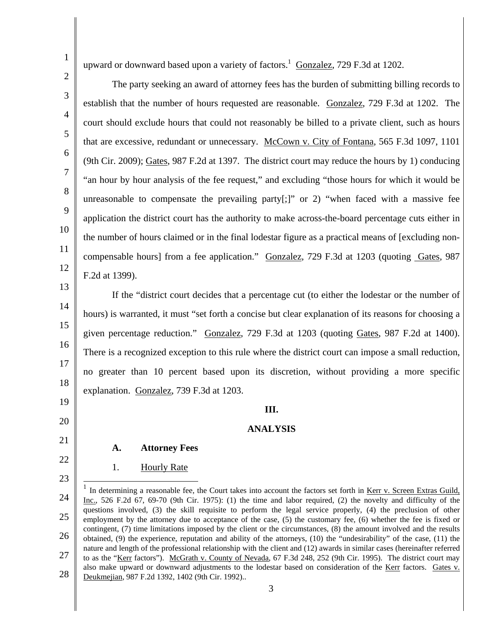5

6

7

8

9

10

11

12

17

19

20

22

23

upward or downward based upon a variety of factors. $1 \text{ Gonzalez}, 729 \text{ F}$ .3d at 1202.

 The party seeking an award of attorney fees has the burden of submitting billing records to establish that the number of hours requested are reasonable. Gonzalez, 729 F.3d at 1202. The court should exclude hours that could not reasonably be billed to a private client, such as hours that are excessive, redundant or unnecessary. McCown v. City of Fontana, 565 F.3d 1097, 1101 (9th Cir. 2009); Gates, 987 F.2d at 1397. The district court may reduce the hours by 1) conducing "an hour by hour analysis of the fee request," and excluding "those hours for which it would be unreasonable to compensate the prevailing party[;]" or 2) "when faced with a massive fee application the district court has the authority to make across-the-board percentage cuts either in the number of hours claimed or in the final lodestar figure as a practical means of [excluding noncompensable hours] from a fee application." Gonzalez, 729 F.3d at 1203 (quoting Gates, 987 F.2d at 1399).

13 14 15 16 18 If the "district court decides that a percentage cut (to either the lodestar or the number of hours) is warranted, it must "set forth a concise but clear explanation of its reasons for choosing a given percentage reduction." Gonzalez, 729 F.3d at 1203 (quoting Gates, 987 F.2d at 1400). There is a recognized exception to this rule where the district court can impose a small reduction, no greater than 10 percent based upon its discretion, without providing a more specific explanation. Gonzalez, 739 F.3d at 1203.

## **III.**

## **ANALYSIS**

21

## **A. Attorney Fees**

1. Hourly Rate

24 25 26 27 28  $\overline{\phantom{a}}$ 1 In determining a reasonable fee, the Court takes into account the factors set forth in Kerr v. Screen Extras Guild, Inc., 526 F.2d 67, 69-70 (9th Cir. 1975): (1) the time and labor required, (2) the novelty and difficulty of the questions involved, (3) the skill requisite to perform the legal service properly, (4) the preclusion of other employment by the attorney due to acceptance of the case, (5) the customary fee, (6) whether the fee is fixed or contingent, (7) time limitations imposed by the client or the circumstances, (8) the amount involved and the results obtained, (9) the experience, reputation and ability of the attorneys, (10) the "undesirability" of the case, (11) the nature and length of the professional relationship with the client and (12) awards in similar cases (hereinafter referred to as the "Kerr factors"). McGrath v. County of Nevada, 67 F.3d 248, 252 (9th Cir. 1995). The district court may also make upward or downward adjustments to the lodestar based on consideration of the Kerr factors. Gates v. Deukmejian, 987 F.2d 1392, 1402 (9th Cir. 1992)..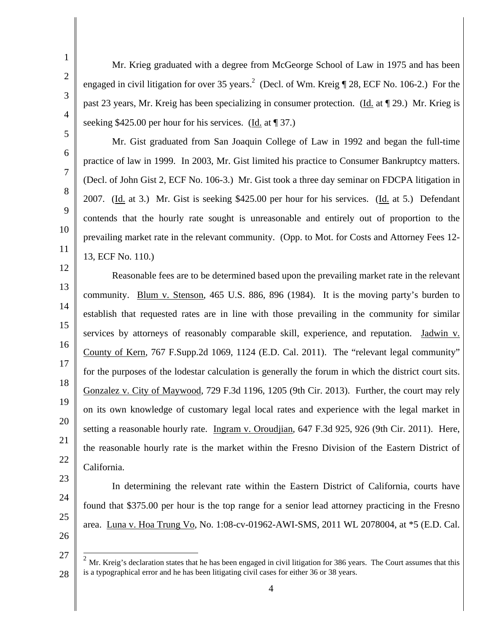Mr. Krieg graduated with a degree from McGeorge School of Law in 1975 and has been engaged in civil litigation for over 35 years.<sup>2</sup> (Decl. of Wm. Kreig  $\P$  28, ECF No. 106-2.) For the past 23 years, Mr. Kreig has been specializing in consumer protection. (Id. at ¶ 29.) Mr. Krieg is seeking \$425.00 per hour for his services. (Id. at  $\parallel$  37.)

 Mr. Gist graduated from San Joaquin College of Law in 1992 and began the full-time practice of law in 1999. In 2003, Mr. Gist limited his practice to Consumer Bankruptcy matters. (Decl. of John Gist 2, ECF No. 106-3.) Mr. Gist took a three day seminar on FDCPA litigation in 2007. (Id. at 3.) Mr. Gist is seeking \$425.00 per hour for his services. (Id. at 5.) Defendant contends that the hourly rate sought is unreasonable and entirely out of proportion to the prevailing market rate in the relevant community. (Opp. to Mot. for Costs and Attorney Fees 12- 13, ECF No. 110.)

13 14 15 16 18 20 21 22 Reasonable fees are to be determined based upon the prevailing market rate in the relevant community. Blum v. Stenson, 465 U.S. 886, 896 (1984). It is the moving party's burden to establish that requested rates are in line with those prevailing in the community for similar services by attorneys of reasonably comparable skill, experience, and reputation. Jadwin v. County of Kern, 767 F.Supp.2d 1069, 1124 (E.D. Cal. 2011). The "relevant legal community" for the purposes of the lodestar calculation is generally the forum in which the district court sits. Gonzalez v. City of Maywood, 729 F.3d 1196, 1205 (9th Cir. 2013). Further, the court may rely on its own knowledge of customary legal local rates and experience with the legal market in setting a reasonable hourly rate. Ingram v. Oroudjian, 647 F.3d 925, 926 (9th Cir. 2011). Here, the reasonable hourly rate is the market within the Fresno Division of the Eastern District of California.

- 23
- 24
- 25
- 26

 $\overline{\phantom{a}}$ 

4

In determining the relevant rate within the Eastern District of California, courts have

found that \$375.00 per hour is the top range for a senior lead attorney practicing in the Fresno

area. Luna v. Hoa Trung Vo, No. 1:08-cv-01962-AWI-SMS, 2011 WL 2078004, at \*5 (E.D. Cal.

1

2

3

4

5

6

7

8

9

10

- 12
- 

<sup>27</sup>  28  $2<sup>2</sup>$  Mr. Kreig's declaration states that he has been engaged in civil litigation for 386 years. The Court assumes that this is a typographical error and he has been litigating civil cases for either 36 or 38 years.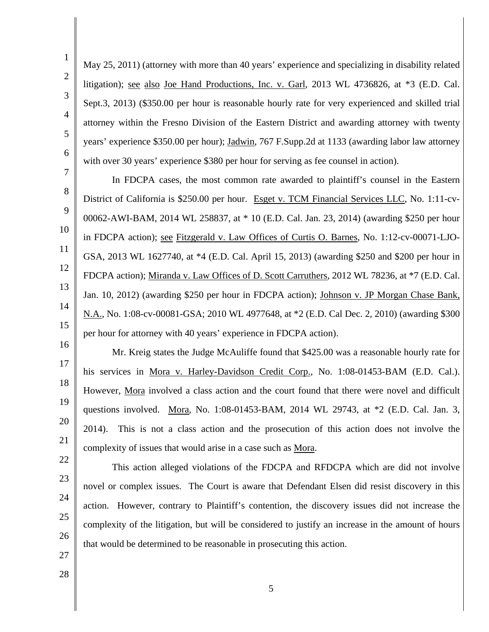1

May 25, 2011) (attorney with more than 40 years' experience and specializing in disability related litigation); see also Joe Hand Productions, Inc. v. Garl, 2013 WL 4736826, at \*3 (E.D. Cal. Sept.3, 2013) (\$350.00 per hour is reasonable hourly rate for very experienced and skilled trial attorney within the Fresno Division of the Eastern District and awarding attorney with twenty years' experience \$350.00 per hour); Jadwin, 767 F.Supp.2d at 1133 (awarding labor law attorney with over 30 years' experience \$380 per hour for serving as fee counsel in action).

 In FDCPA cases, the most common rate awarded to plaintiff's counsel in the Eastern District of California is \$250.00 per hour. Esget v. TCM Financial Services LLC, No. 1:11-cv-00062-AWI-BAM, 2014 WL 258837, at \* 10 (E.D. Cal. Jan. 23, 2014) (awarding \$250 per hour in FDCPA action); see Fitzgerald v. Law Offices of Curtis O. Barnes, No. 1:12-cv-00071-LJO-GSA, 2013 WL 1627740, at \*4 (E.D. Cal. April 15, 2013) (awarding \$250 and \$200 per hour in FDCPA action); Miranda v. Law Offices of D. Scott Carruthers, 2012 WL 78236, at \*7 (E.D. Cal. Jan. 10, 2012) (awarding \$250 per hour in FDCPA action); Johnson v. JP Morgan Chase Bank, N.A., No. 1:08-cv-00081-GSA; 2010 WL 4977648, at \*2 (E.D. Cal Dec. 2, 2010) (awarding \$300 per hour for attorney with 40 years' experience in FDCPA action).

 Mr. Kreig states the Judge McAuliffe found that \$425.00 was a reasonable hourly rate for his services in Mora v. Harley-Davidson Credit Corp., No. 1:08-01453-BAM (E.D. Cal.). However, Mora involved a class action and the court found that there were novel and difficult questions involved. Mora, No. 1:08-01453-BAM, 2014 WL 29743, at \*2 (E.D. Cal. Jan. 3, 2014). This is not a class action and the prosecution of this action does not involve the complexity of issues that would arise in a case such as Mora.

 This action alleged violations of the FDCPA and RFDCPA which are did not involve novel or complex issues. The Court is aware that Defendant Elsen did resist discovery in this action. However, contrary to Plaintiff's contention, the discovery issues did not increase the complexity of the litigation, but will be considered to justify an increase in the amount of hours that would be determined to be reasonable in prosecuting this action.

28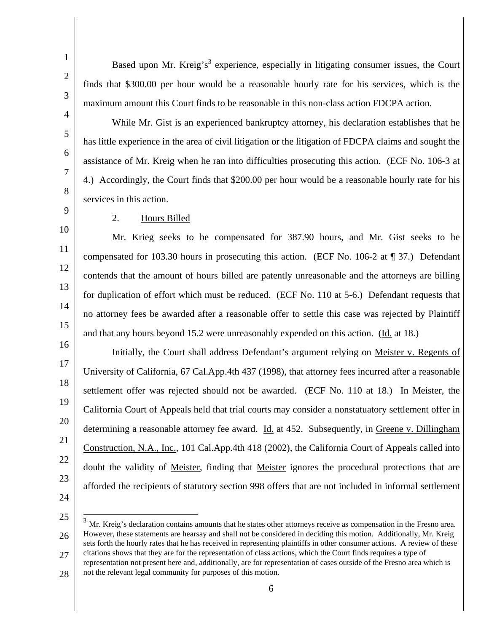Based upon Mr. Kreig's<sup>3</sup> experience, especially in litigating consumer issues, the Court finds that \$300.00 per hour would be a reasonable hourly rate for his services, which is the maximum amount this Court finds to be reasonable in this non-class action FDCPA action.

 While Mr. Gist is an experienced bankruptcy attorney, his declaration establishes that he has little experience in the area of civil litigation or the litigation of FDCPA claims and sought the assistance of Mr. Kreig when he ran into difficulties prosecuting this action. (ECF No. 106-3 at 4.) Accordingly, the Court finds that \$200.00 per hour would be a reasonable hourly rate for his services in this action.

1

## 2. Hours Billed

 Mr. Krieg seeks to be compensated for 387.90 hours, and Mr. Gist seeks to be compensated for 103.30 hours in prosecuting this action. (ECF No. 106-2 at ¶ 37.) Defendant contends that the amount of hours billed are patently unreasonable and the attorneys are billing for duplication of effort which must be reduced. (ECF No. 110 at 5-6.) Defendant requests that no attorney fees be awarded after a reasonable offer to settle this case was rejected by Plaintiff and that any hours beyond 15.2 were unreasonably expended on this action. (Id. at 18.)

21 22 23 24 Initially, the Court shall address Defendant's argument relying on Meister v. Regents of University of California, 67 Cal.App.4th 437 (1998), that attorney fees incurred after a reasonable settlement offer was rejected should not be awarded. (ECF No. 110 at 18.) In Meister, the California Court of Appeals held that trial courts may consider a nonstatuatory settlement offer in determining a reasonable attorney fee award. Id. at 452. Subsequently, in Greene v. Dillingham Construction, N.A., Inc., 101 Cal.App.4th 418 (2002), the California Court of Appeals called into doubt the validity of Meister, finding that Meister ignores the procedural protections that are afforded the recipients of statutory section 998 offers that are not included in informal settlement

 $\overline{\phantom{a}}$ 

25 26 27  $3\,$  Mr. Kreig's declaration contains amounts that he states other attorneys receive as compensation in the Fresno area. However, these statements are hearsay and shall not be considered in deciding this motion. Additionally, Mr. Kreig sets forth the hourly rates that he has received in representing plaintiffs in other consumer actions. A review of these citations shows that they are for the representation of class actions, which the Court finds requires a type of representation not present here and, additionally, are for representation of cases outside of the Fresno area which is

28 not the relevant legal community for purposes of this motion.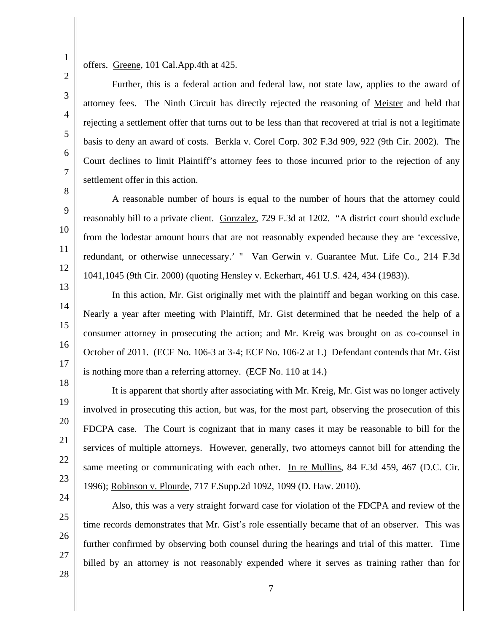1 2

3

4

5

6

7

8

9

10

11

12

13

14

15

16

17

18

19

20

21

22

23

24

25

26

27

offers. Greene, 101 Cal.App.4th at 425.

 Further, this is a federal action and federal law, not state law, applies to the award of attorney fees. The Ninth Circuit has directly rejected the reasoning of Meister and held that rejecting a settlement offer that turns out to be less than that recovered at trial is not a legitimate basis to deny an award of costs. Berkla v. Corel Corp. 302 F.3d 909, 922 (9th Cir. 2002). The Court declines to limit Plaintiff's attorney fees to those incurred prior to the rejection of any settlement offer in this action.

 A reasonable number of hours is equal to the number of hours that the attorney could reasonably bill to a private client. Gonzalez, 729 F.3d at 1202. "A district court should exclude from the lodestar amount hours that are not reasonably expended because they are 'excessive, redundant, or otherwise unnecessary.' " Van Gerwin v. Guarantee Mut. Life Co., 214 F.3d 1041,1045 (9th Cir. 2000) (quoting Hensley v. Eckerhart, 461 U.S. 424, 434 (1983)).

 In this action, Mr. Gist originally met with the plaintiff and began working on this case. Nearly a year after meeting with Plaintiff, Mr. Gist determined that he needed the help of a consumer attorney in prosecuting the action; and Mr. Kreig was brought on as co-counsel in October of 2011. (ECF No. 106-3 at 3-4; ECF No. 106-2 at 1.) Defendant contends that Mr. Gist is nothing more than a referring attorney. (ECF No. 110 at 14.)

 It is apparent that shortly after associating with Mr. Kreig, Mr. Gist was no longer actively involved in prosecuting this action, but was, for the most part, observing the prosecution of this FDCPA case. The Court is cognizant that in many cases it may be reasonable to bill for the services of multiple attorneys. However, generally, two attorneys cannot bill for attending the same meeting or communicating with each other. In re Mullins, 84 F.3d 459, 467 (D.C. Cir. 1996); Robinson v. Plourde, 717 F.Supp.2d 1092, 1099 (D. Haw. 2010).

 Also, this was a very straight forward case for violation of the FDCPA and review of the time records demonstrates that Mr. Gist's role essentially became that of an observer. This was further confirmed by observing both counsel during the hearings and trial of this matter. Time billed by an attorney is not reasonably expended where it serves as training rather than for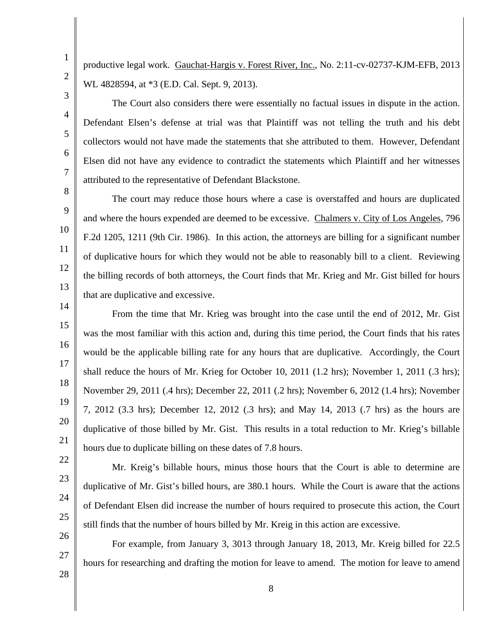productive legal work. Gauchat-Hargis v. Forest River, Inc., No. 2:11-cv-02737-KJM-EFB, 2013 WL 4828594, at \*3 (E.D. Cal. Sept. 9, 2013).

3

1

2

4

5

6

7

8

9

10

11

12

13

14

15

16

17

18

19

20

21

 The Court also considers there were essentially no factual issues in dispute in the action. Defendant Elsen's defense at trial was that Plaintiff was not telling the truth and his debt collectors would not have made the statements that she attributed to them. However, Defendant Elsen did not have any evidence to contradict the statements which Plaintiff and her witnesses attributed to the representative of Defendant Blackstone.

 The court may reduce those hours where a case is overstaffed and hours are duplicated and where the hours expended are deemed to be excessive. Chalmers v. City of Los Angeles, 796 F.2d 1205, 1211 (9th Cir. 1986). In this action, the attorneys are billing for a significant number of duplicative hours for which they would not be able to reasonably bill to a client. Reviewing the billing records of both attorneys, the Court finds that Mr. Krieg and Mr. Gist billed for hours that are duplicative and excessive.

 From the time that Mr. Krieg was brought into the case until the end of 2012, Mr. Gist was the most familiar with this action and, during this time period, the Court finds that his rates would be the applicable billing rate for any hours that are duplicative. Accordingly, the Court shall reduce the hours of Mr. Krieg for October 10, 2011 (1.2 hrs); November 1, 2011 (.3 hrs); November 29, 2011 (.4 hrs); December 22, 2011 (.2 hrs); November 6, 2012 (1.4 hrs); November 7, 2012 (3.3 hrs); December 12, 2012 (.3 hrs); and May 14, 2013 (.7 hrs) as the hours are duplicative of those billed by Mr. Gist. This results in a total reduction to Mr. Krieg's billable hours due to duplicate billing on these dates of 7.8 hours.

 Mr. Kreig's billable hours, minus those hours that the Court is able to determine are duplicative of Mr. Gist's billed hours, are 380.1 hours. While the Court is aware that the actions of Defendant Elsen did increase the number of hours required to prosecute this action, the Court still finds that the number of hours billed by Mr. Kreig in this action are excessive.

 For example, from January 3, 3013 through January 18, 2013, Mr. Kreig billed for 22.5 hours for researching and drafting the motion for leave to amend. The motion for leave to amend

28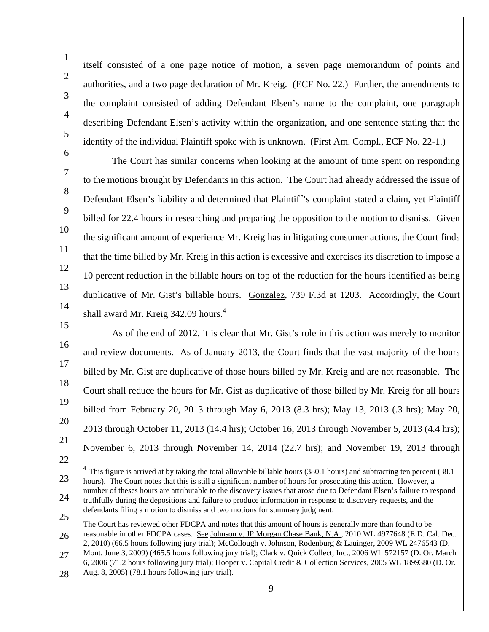itself consisted of a one page notice of motion, a seven page memorandum of points and authorities, and a two page declaration of Mr. Kreig. (ECF No. 22.) Further, the amendments to the complaint consisted of adding Defendant Elsen's name to the complaint, one paragraph describing Defendant Elsen's activity within the organization, and one sentence stating that the identity of the individual Plaintiff spoke with is unknown. (First Am. Compl., ECF No. 22-1.)

 The Court has similar concerns when looking at the amount of time spent on responding to the motions brought by Defendants in this action. The Court had already addressed the issue of Defendant Elsen's liability and determined that Plaintiff's complaint stated a claim, yet Plaintiff billed for 22.4 hours in researching and preparing the opposition to the motion to dismiss. Given the significant amount of experience Mr. Kreig has in litigating consumer actions, the Court finds that the time billed by Mr. Kreig in this action is excessive and exercises its discretion to impose a 10 percent reduction in the billable hours on top of the reduction for the hours identified as being duplicative of Mr. Gist's billable hours. Gonzalez, 739 F.3d at 1203. Accordingly, the Court shall award Mr. Kreig  $342.09$  hours.<sup>4</sup>

 As of the end of 2012, it is clear that Mr. Gist's role in this action was merely to monitor and review documents. As of January 2013, the Court finds that the vast majority of the hours billed by Mr. Gist are duplicative of those hours billed by Mr. Kreig and are not reasonable. The Court shall reduce the hours for Mr. Gist as duplicative of those billed by Mr. Kreig for all hours billed from February 20, 2013 through May 6, 2013 (8.3 hrs); May 13, 2013 (.3 hrs); May 20, 2013 through October 11, 2013 (14.4 hrs); October 16, 2013 through November 5, 2013 (4.4 hrs); November 6, 2013 through November 14, 2014 (22.7 hrs); and November 19, 2013 through  $\overline{\phantom{a}}$ 

23 24  $4$  This figure is arrived at by taking the total allowable billable hours (380.1 hours) and subtracting ten percent (38.1) hours). The Court notes that this is still a significant number of hours for prosecuting this action. However, a number of theses hours are attributable to the discovery issues that arose due to Defendant Elsen's failure to respond truthfully during the depositions and failure to produce information in response to discovery requests, and the defendants filing a motion to dismiss and two motions for summary judgment.

28 Aug. 8, 2005) (78.1 hours following jury trial).

<sup>25</sup>  26 27 The Court has reviewed other FDCPA and notes that this amount of hours is generally more than found to be reasonable in other FDCPA cases. See Johnson v. JP Morgan Chase Bank, N.A., 2010 WL 4977648 (E.D. Cal. Dec. 2, 2010) (66.5 hours following jury trial); McCollough v. Johnson, Rodenburg & Lauinger, 2009 WL 2476543 (D. Mont. June 3, 2009) (465.5 hours following jury trial); Clark v. Quick Collect, Inc., 2006 WL 572157 (D. Or. March 6, 2006 (71.2 hours following jury trial); Hooper v. Capital Credit & Collection Services, 2005 WL 1899380 (D. Or.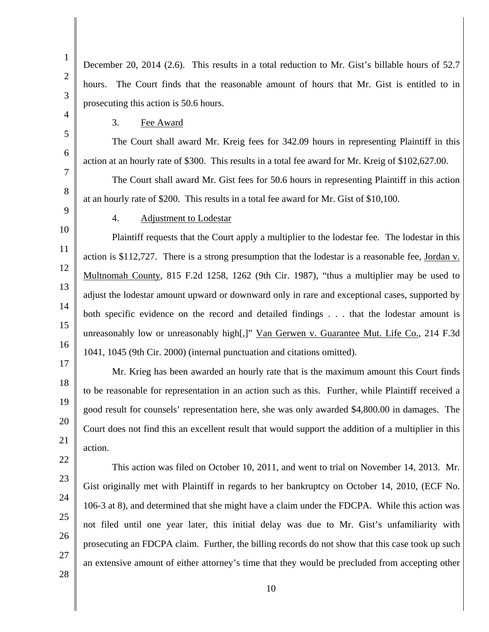1 2 3 4 5 6 7 8 9 10 11 12 13 14 15 16 17 18 19 20 21 22 23 24 25 26 27 December 20, 2014 (2.6). This results in a total reduction to Mr. Gist's billable hours of 52.7 hours. The Court finds that the reasonable amount of hours that Mr. Gist is entitled to in prosecuting this action is 50.6 hours. 3. Fee Award The Court shall award Mr. Kreig fees for 342.09 hours in representing Plaintiff in this action at an hourly rate of \$300. This results in a total fee award for Mr. Kreig of \$102,627.00. The Court shall award Mr. Gist fees for 50.6 hours in representing Plaintiff in this action at an hourly rate of \$200. This results in a total fee award for Mr. Gist of \$10,100. 4. Adjustment to Lodestar Plaintiff requests that the Court apply a multiplier to the lodestar fee. The lodestar in this action is \$112,727. There is a strong presumption that the lodestar is a reasonable fee, Jordan v. Multnomah County, 815 F.2d 1258, 1262 (9th Cir. 1987), "thus a multiplier may be used to adjust the lodestar amount upward or downward only in rare and exceptional cases, supported by both specific evidence on the record and detailed findings . . . that the lodestar amount is unreasonably low or unreasonably high[,]" Van Gerwen v. Guarantee Mut. Life Co., 214 F.3d 1041, 1045 (9th Cir. 2000) (internal punctuation and citations omitted). Mr. Krieg has been awarded an hourly rate that is the maximum amount this Court finds to be reasonable for representation in an action such as this. Further, while Plaintiff received a good result for counsels' representation here, she was only awarded \$4,800.00 in damages. The Court does not find this an excellent result that would support the addition of a multiplier in this action. This action was filed on October 10, 2011, and went to trial on November 14, 2013. Mr. Gist originally met with Plaintiff in regards to her bankruptcy on October 14, 2010, (ECF No. 106-3 at 8), and determined that she might have a claim under the FDCPA. While this action was not filed until one year later, this initial delay was due to Mr. Gist's unfamiliarity with prosecuting an FDCPA claim. Further, the billing records do not show that this case took up such an extensive amount of either attorney's time that they would be precluded from accepting other